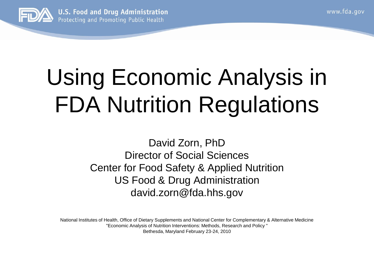www.fda.gov



# Using Economic Analysis in FDA Nutrition Regulations

#### David Zorn, PhD Director of Social Sciences Center for Food Safety & Applied Nutrition US Food & Drug Administration david.zorn@fda.hhs.gov

National Institutes of Health, Office of Dietary Supplements and National Center for Complementary & Alternative Medicine "Economic Analysis of Nutrition Interventions: Methods, Research and Policy " Bethesda, Maryland February 23-24, 2010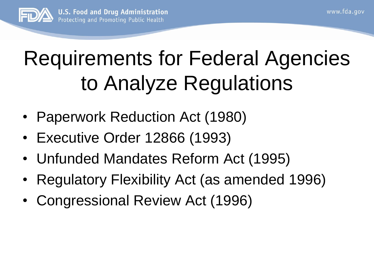

## Requirements for Federal Agencies to Analyze Regulations

- Paperwork Reduction Act (1980)
- Executive Order 12866 (1993)
- Unfunded Mandates Reform Act (1995)
- Regulatory Flexibility Act (as amended 1996)
- Congressional Review Act (1996)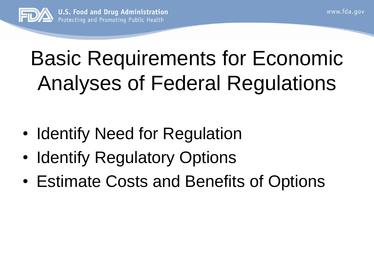

## Basic Requirements for Economic Analyses of Federal Regulations

- Identify Need for Regulation
- **Identify Regulatory Options**
- Estimate Costs and Benefits of Options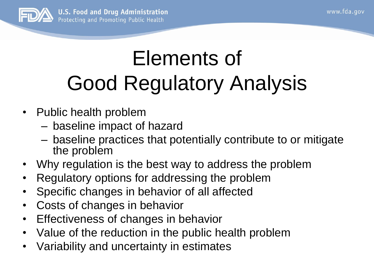

## Elements of Good Regulatory Analysis

- Public health problem
	- baseline impact of hazard
	- baseline practices that potentially contribute to or mitigate the problem
- Why regulation is the best way to address the problem
- Regulatory options for addressing the problem
- Specific changes in behavior of all affected
- Costs of changes in behavior
- Effectiveness of changes in behavior
- Value of the reduction in the public health problem
- Variability and uncertainty in estimates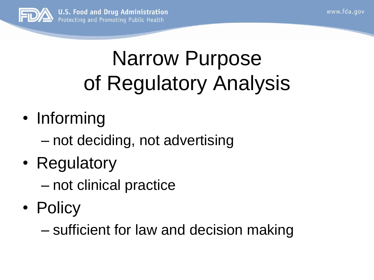

## Narrow Purpose of Regulatory Analysis

- Informing
	- not deciding, not advertising
- Regulatory
	- not clinical practice
- Policy

– sufficient for law and decision making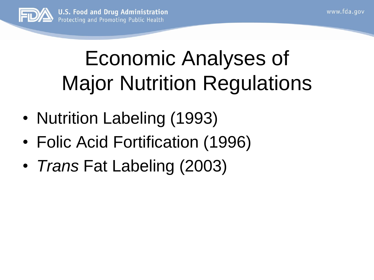

### Economic Analyses of Major Nutrition Regulations

- Nutrition Labeling (1993)
- Folic Acid Fortification (1996)
- *Trans* Fat Labeling (2003)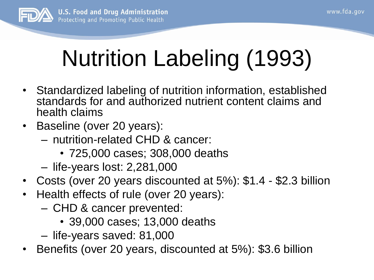

# Nutrition Labeling (1993)

- Standardized labeling of nutrition information, established standards for and authorized nutrient content claims and health claims
- Baseline (over 20 years):
	- nutrition-related CHD & cancer:
		- 725,000 cases; 308,000 deaths
	- life-years lost: 2,281,000
- Costs (over 20 years discounted at 5%): \$1.4 \$2.3 billion
- Health effects of rule (over 20 years):
	- CHD & cancer prevented:
		- 39,000 cases; 13,000 deaths
	- life-years saved: 81,000
- Benefits (over 20 years, discounted at 5%): \$3.6 billion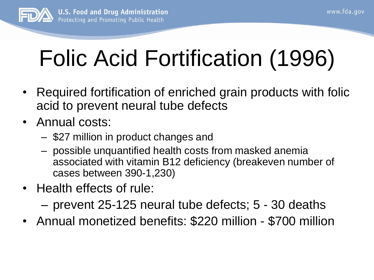

## Folic Acid Fortification (1996)

- Required fortification of enriched grain products with folic acid to prevent neural tube defects
- Annual costs:
	- \$27 million in product changes and
	- possible unquantified health costs from masked anemia associated with vitamin B12 deficiency (breakeven number of cases between 390-1,230)
- Health effects of rule:
	- prevent 25-125 neural tube defects; 5 30 deaths
- Annual monetized benefits: \$220 million \$700 million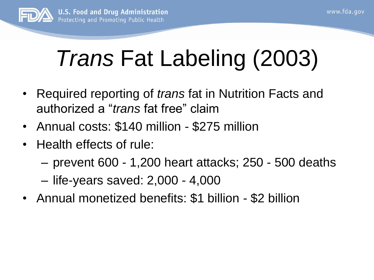

## *Trans* Fat Labeling (2003)

- Required reporting of *trans* fat in Nutrition Facts and authorized a "*trans* fat free" claim
- Annual costs: \$140 million \$275 million
- Health effects of rule:
	- prevent 600 1,200 heart attacks; 250 500 deaths
	- life-years saved: 2,000 4,000
- Annual monetized benefits: \$1 billion \$2 billion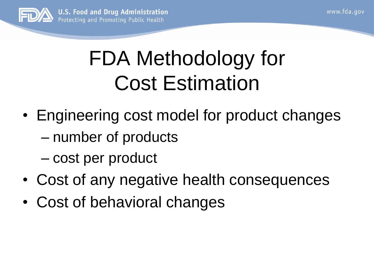

#### FDA Methodology for Cost Estimation

- Engineering cost model for product changes – number of products – cost per product
- Cost of any negative health consequences
- Cost of behavioral changes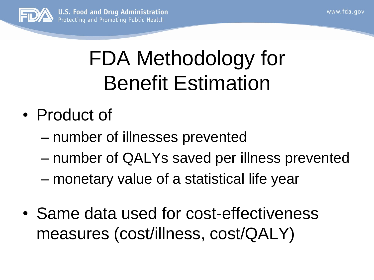

## FDA Methodology for Benefit Estimation

- Product of
	- number of illnesses prevented
	- number of QALYs saved per illness prevented
	- monetary value of a statistical life year
- Same data used for cost-effectiveness measures (cost/illness, cost/QALY)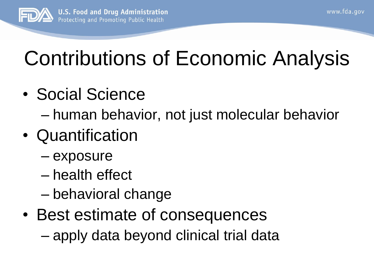

## Contributions of Economic Analysis

- Social Science
	- human behavior, not just molecular behavior
- Quantification
	- exposure
	- health effect
	- behavioral change
- Best estimate of consequences
	- apply data beyond clinical trial data